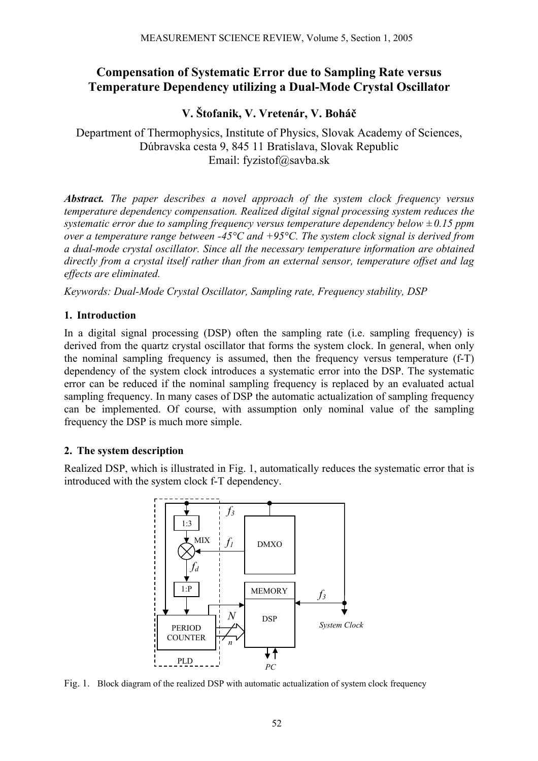# **Compensation of Systematic Error due to Sampling Rate versus Temperature Dependency utilizing a Dual-Mode Crystal Oscillator**

# **V. Štofanik, V. Vretenár, V. Boháč**

Department of Thermophysics, Institute of Physics, Slovak Academy of Sciences, Dúbravska cesta 9, 845 11 Bratislava, Slovak Republic Email: fyzistof@savba.sk

*Abstract. The paper describes a novel approach of the system clock frequency versus temperature dependency compensation. Realized digital signal processing system reduces the systematic error due to sampling frequency versus temperature dependency below ± 0.15 ppm over a temperature range between -45°C and +95°C. The system clock signal is derived from a dual-mode crystal oscillator. Since all the necessary temperature information are obtained directly from a crystal itself rather than from an external sensor, temperature offset and lag effects are eliminated.* 

*Keywords: Dual-Mode Crystal Oscillator, Sampling rate, Frequency stability, DSP* 

#### **1. Introduction**

In a digital signal processing (DSP) often the sampling rate (i.e. sampling frequency) is derived from the quartz crystal oscillator that forms the system clock. In general, when only the nominal sampling frequency is assumed, then the frequency versus temperature (f-T) dependency of the system clock introduces a systematic error into the DSP. The systematic error can be reduced if the nominal sampling frequency is replaced by an evaluated actual sampling frequency. In many cases of DSP the automatic actualization of sampling frequency can be implemented. Of course, with assumption only nominal value of the sampling frequency the DSP is much more simple.

#### **2. The system description**

Realized DSP, which is illustrated in Fig. 1, automatically reduces the systematic error that is introduced with the system clock f-T dependency.



Fig. 1. Block diagram of the realized DSP with automatic actualization of system clock frequency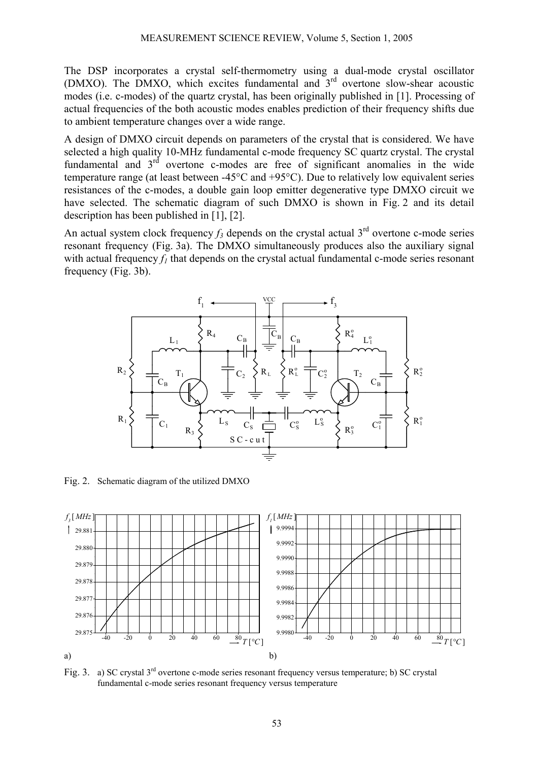The DSP incorporates a crystal self-thermometry using a dual-mode crystal oscillator (DMXO). The DMXO, which excites fundamental and  $3<sup>rd</sup>$  overtone slow-shear acoustic modes (i.e. c-modes) of the quartz crystal, has been originally published in [1]. Processing of actual frequencies of the both acoustic modes enables prediction of their frequency shifts due to ambient temperature changes over a wide range.

A design of DMXO circuit depends on parameters of the crystal that is considered. We have selected a high quality 10-MHz fundamental c-mode frequency SC quartz crystal. The crystal fundamental and  $3<sup>rd</sup>$  overtone c-modes are free of significant anomalies in the wide temperature range (at least between -45°C and +95°C). Due to relatively low equivalent series resistances of the c-modes, a double gain loop emitter degenerative type DMXO circuit we have selected. The schematic diagram of such DMXO is shown in Fig. 2 and its detail description has been published in [1], [2].

An actual system clock frequency  $f_3$  depends on the crystal actual 3<sup>rd</sup> overtone c-mode series resonant frequency (Fig. 3a). The DMXO simultaneously produces also the auxiliary signal with actual frequency  $f_l$  that depends on the crystal actual fundamental c-mode series resonant frequency (Fig. 3b).



Fig. 2. Schematic diagram of the utilized DMXO



Fig. 3. a) SC crystal 3<sup>rd</sup> overtone c-mode series resonant frequency versus temperature; b) SC crystal fundamental c-mode series resonant frequency versus temperature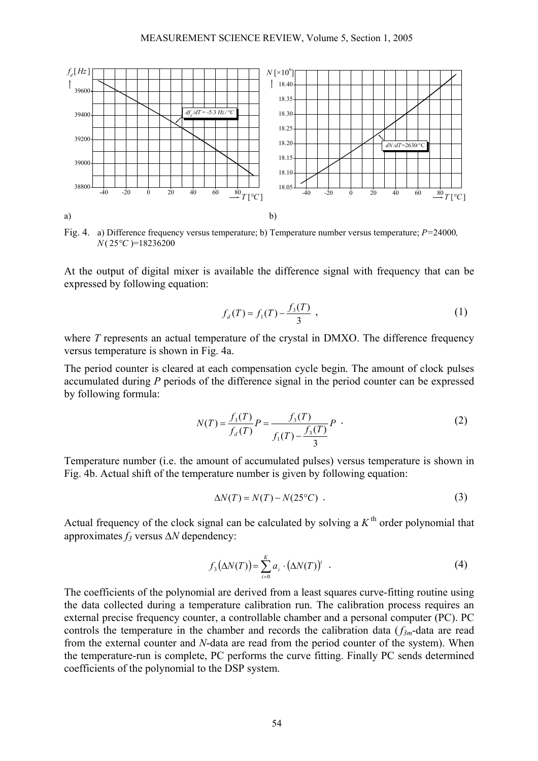

Fig. 4. a) Difference frequency versus temperature; b) Temperature number versus temperature; *P=*24000*, N*( 25*°C* )=18236200

At the output of digital mixer is available the difference signal with frequency that can be expressed by following equation:

$$
f_d(T) = f_1(T) - \frac{f_3(T)}{3} \tag{1}
$$

where *T* represents an actual temperature of the crystal in DMXO. The difference frequency versus temperature is shown in Fig. 4a.

The period counter is cleared at each compensation cycle begin. The amount of clock pulses accumulated during *P* periods of the difference signal in the period counter can be expressed by following formula:

$$
N(T) = \frac{f_3(T)}{f_d(T)} P = \frac{f_3(T)}{f_1(T) - \frac{f_3(T)}{3}} P
$$
 (2)

Temperature number (i.e. the amount of accumulated pulses) versus temperature is shown in Fig. 4b. Actual shift of the temperature number is given by following equation:

$$
\Delta N(T) = N(T) - N(25^{\circ}C) \tag{3}
$$

Actual frequency of the clock signal can be calculated by solving a  $K<sup>th</sup>$  order polynomial that approximates *f3* versus ∆*N* dependency:

$$
f_3(\Delta N(T)) = \sum_{i=0}^{K} a_i \cdot (\Delta N(T))^i \quad . \tag{4}
$$

The coefficients of the polynomial are derived from a least squares curve-fitting routine using the data collected during a temperature calibration run. The calibration process requires an external precise frequency counter, a controllable chamber and a personal computer (PC). PC controls the temperature in the chamber and records the calibration data  $(f_{3m})$ -data are read from the external counter and *N*-data are read from the period counter of the system). When the temperature-run is complete, PC performs the curve fitting. Finally PC sends determined coefficients of the polynomial to the DSP system.